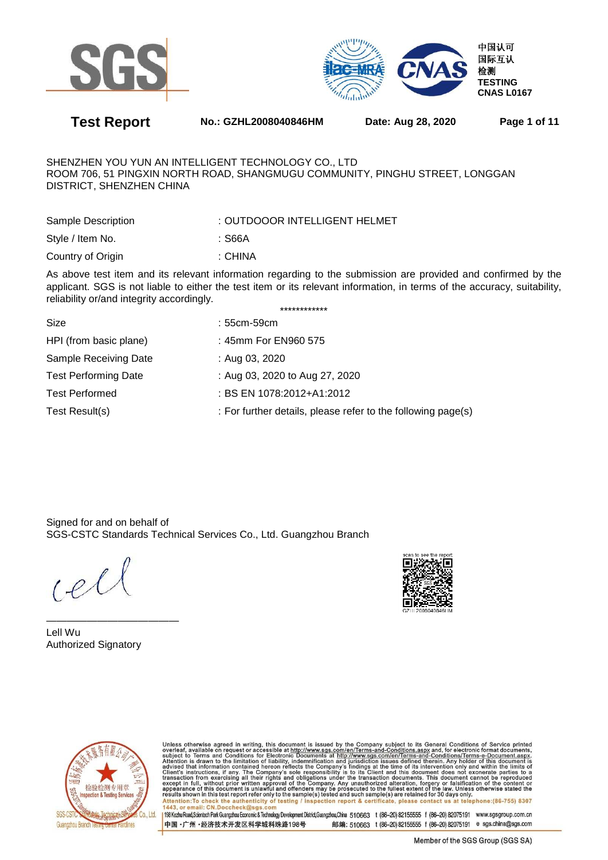



**Test Report No.: GZHL2008040846HM Date: Aug 28, 2020 Page 1 of 11** 

SHENZHEN YOU YUN AN INTELLIGENT TECHNOLOGY CO., LTD ROOM 706, 51 PINGXIN NORTH ROAD, SHANGMUGU COMMUNITY, PINGHU STREET, LONGGAN DISTRICT, SHENZHEN CHINA

| Sample Description | : OUTDOOOR INTELLIGENT HELMET |
|--------------------|-------------------------------|
| Style / Item No.   | :S66A                         |
| Country of Origin  | : CHINA                       |

As above test item and its relevant information regarding to the submission are provided and confirmed by the applicant. SGS is not liable to either the test item or its relevant information, in terms of the accuracy, suitability, reliability or/and integrity accordingly. \*\*\*\*\*\*\*\*\*\*\*\*

| Size                        | $:55cm-59cm$                                                 |
|-----------------------------|--------------------------------------------------------------|
| HPI (from basic plane)      | : 45mm For EN960 575                                         |
| Sample Receiving Date       | : Aug 03, 2020                                               |
| <b>Test Performing Date</b> | : Aug 03, 2020 to Aug 27, 2020                               |
| <b>Test Performed</b>       | : BS EN 1078:2012+A1:2012                                    |
| Test Result(s)              | : For further details, please refer to the following page(s) |
|                             |                                                              |

Signed for and on behalf of SGS-CSTC Standards Technical Services Co., Ltd. Guangzhou Branch

 $Lel$ 

Lell Wu Authorized Signatory

—————————————





Unless otherwise agreed in writing, this document is issued by the Company subject to its General Conditions of Service printed<br>overleaf, available on request or accessible at http://www.sgs.com/en/Terms-and-Conditions.asp Attention:To check the authenticity of testing / inspection report & certificate, please contact us at telephone:(86-755) 8307<br>1443. or email: CN.Doccheck@sgs.com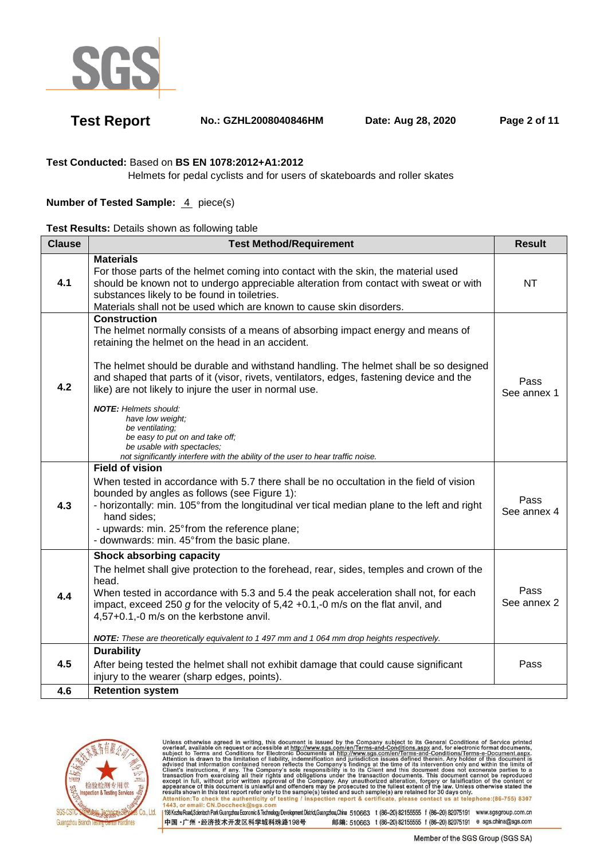

**Test Report No.: GZHL2008040846HM Date: Aug 28, 2020 Page 2 of 11** 

### **Test Conducted:** Based on **BS EN 1078:2012+A1:2012**

Helmets for pedal cyclists and for users of skateboards and roller skates

### **Number of Tested Sample: 4 piece(s)**

|  |  | Test Results: Details shown as following table |  |
|--|--|------------------------------------------------|--|
|  |  |                                                |  |

| <b>Clause</b> | <b>Test Method/Requirement</b>                                                                                                                                                                                                                                                                                                                                                                                                                                                                                                                                                                                                                                | <b>Result</b>       |
|---------------|---------------------------------------------------------------------------------------------------------------------------------------------------------------------------------------------------------------------------------------------------------------------------------------------------------------------------------------------------------------------------------------------------------------------------------------------------------------------------------------------------------------------------------------------------------------------------------------------------------------------------------------------------------------|---------------------|
| 4.1           | <b>Materials</b><br>For those parts of the helmet coming into contact with the skin, the material used<br>should be known not to undergo appreciable alteration from contact with sweat or with<br>substances likely to be found in toiletries.<br>Materials shall not be used which are known to cause skin disorders.                                                                                                                                                                                                                                                                                                                                       | <b>NT</b>           |
| 4.2           | <b>Construction</b><br>The helmet normally consists of a means of absorbing impact energy and means of<br>retaining the helmet on the head in an accident.<br>The helmet should be durable and withstand handling. The helmet shall be so designed<br>and shaped that parts of it (visor, rivets, ventilators, edges, fastening device and the<br>like) are not likely to injure the user in normal use.<br><b>NOTE:</b> Helmets should:<br>have low weight;<br>be ventilating;<br>be easy to put on and take off;<br>be usable with spectacles;<br>not significantly interfere with the ability of the user to hear traffic noise.<br><b>Field of vision</b> | Pass<br>See annex 1 |
| 4.3           | When tested in accordance with 5.7 there shall be no occultation in the field of vision<br>bounded by angles as follows (see Figure 1):<br>- horizontally: min. 105° from the longitudinal ver tical median plane to the left and right<br>hand sides;<br>- upwards: min. 25° from the reference plane;<br>- downwards: min. 45° from the basic plane.                                                                                                                                                                                                                                                                                                        | Pass<br>See annex 4 |
| 4.4           | Shock absorbing capacity<br>The helmet shall give protection to the forehead, rear, sides, temples and crown of the<br>head.<br>When tested in accordance with 5.3 and 5.4 the peak acceleration shall not, for each<br>impact, exceed 250 g for the velocity of $5,42 +0.1, -0$ m/s on the flat anvil, and<br>4,57+0.1,-0 m/s on the kerbstone anvil.<br>NOTE: These are theoretically equivalent to 1 497 mm and 1 064 mm drop heights respectively.                                                                                                                                                                                                        | Pass<br>See annex 2 |
| 4.5           | <b>Durability</b><br>After being tested the helmet shall not exhibit damage that could cause significant<br>injury to the wearer (sharp edges, points).                                                                                                                                                                                                                                                                                                                                                                                                                                                                                                       | Pass                |
| 4.6           | <b>Retention system</b>                                                                                                                                                                                                                                                                                                                                                                                                                                                                                                                                                                                                                                       |                     |



Unless otherwise agreed in writing, this document is issued by the Company subject to its General Conditions of Service printed<br>overleaf, available on request or accessible at http://www.sgs.com/en/Terms-and-Conditions.as Attention: To check the authenticity of testing / inspection report & certificate, please contact us at telephone: (86-755) 8307<br>1443, or email: CN.Doccheck@sgs.com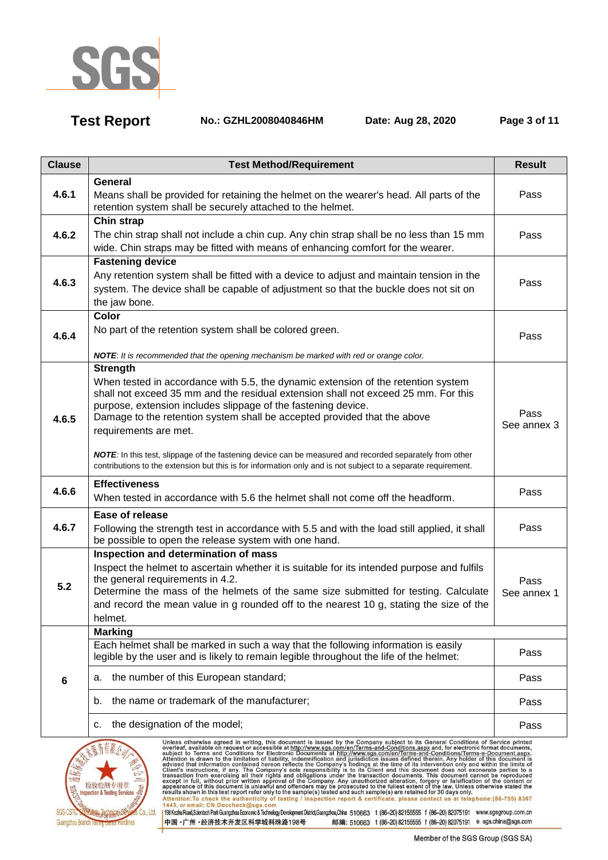

**Test Report No.: GZHL2008040846HM Date: Aug 28, 2020 Page 3 of 11** 

| <b>Clause</b>   | <b>Test Method/Requirement</b>                                                                                                                                                                                                                                                                                                                                                                                                                                                                              | <b>Result</b>       |  |  |
|-----------------|-------------------------------------------------------------------------------------------------------------------------------------------------------------------------------------------------------------------------------------------------------------------------------------------------------------------------------------------------------------------------------------------------------------------------------------------------------------------------------------------------------------|---------------------|--|--|
| 4.6.1           | General<br>Means shall be provided for retaining the helmet on the wearer's head. All parts of the                                                                                                                                                                                                                                                                                                                                                                                                          | Pass                |  |  |
|                 | retention system shall be securely attached to the helmet.                                                                                                                                                                                                                                                                                                                                                                                                                                                  |                     |  |  |
|                 | <b>Chin strap</b>                                                                                                                                                                                                                                                                                                                                                                                                                                                                                           |                     |  |  |
| 4.6.2           | The chin strap shall not include a chin cup. Any chin strap shall be no less than 15 mm<br>wide. Chin straps may be fitted with means of enhancing comfort for the wearer.                                                                                                                                                                                                                                                                                                                                  | Pass                |  |  |
|                 | <b>Fastening device</b>                                                                                                                                                                                                                                                                                                                                                                                                                                                                                     |                     |  |  |
| 4.6.3           | Any retention system shall be fitted with a device to adjust and maintain tension in the                                                                                                                                                                                                                                                                                                                                                                                                                    | Pass                |  |  |
|                 | system. The device shall be capable of adjustment so that the buckle does not sit on<br>the jaw bone.                                                                                                                                                                                                                                                                                                                                                                                                       |                     |  |  |
|                 | Color                                                                                                                                                                                                                                                                                                                                                                                                                                                                                                       |                     |  |  |
| 4.6.4           | No part of the retention system shall be colored green.                                                                                                                                                                                                                                                                                                                                                                                                                                                     | Pass                |  |  |
|                 | NOTE: It is recommended that the opening mechanism be marked with red or orange color.                                                                                                                                                                                                                                                                                                                                                                                                                      |                     |  |  |
|                 | <b>Strength</b>                                                                                                                                                                                                                                                                                                                                                                                                                                                                                             |                     |  |  |
|                 | When tested in accordance with 5.5, the dynamic extension of the retention system<br>shall not exceed 35 mm and the residual extension shall not exceed 25 mm. For this                                                                                                                                                                                                                                                                                                                                     |                     |  |  |
|                 | purpose, extension includes slippage of the fastening device.                                                                                                                                                                                                                                                                                                                                                                                                                                               |                     |  |  |
| 4.6.5           | Pass<br>Damage to the retention system shall be accepted provided that the above<br>See annex 3                                                                                                                                                                                                                                                                                                                                                                                                             |                     |  |  |
|                 | requirements are met.                                                                                                                                                                                                                                                                                                                                                                                                                                                                                       |                     |  |  |
|                 | NOTE: In this test, slippage of the fastening device can be measured and recorded separately from other<br>contributions to the extension but this is for information only and is not subject to a separate requirement.                                                                                                                                                                                                                                                                                    |                     |  |  |
| 4.6.6           | <b>Effectiveness</b>                                                                                                                                                                                                                                                                                                                                                                                                                                                                                        |                     |  |  |
|                 | When tested in accordance with 5.6 the helmet shall not come off the headform.                                                                                                                                                                                                                                                                                                                                                                                                                              | Pass                |  |  |
|                 | Ease of release                                                                                                                                                                                                                                                                                                                                                                                                                                                                                             |                     |  |  |
| 4.6.7           | Following the strength test in accordance with 5.5 and with the load still applied, it shall<br>be possible to open the release system with one hand.                                                                                                                                                                                                                                                                                                                                                       | Pass                |  |  |
|                 | Inspection and determination of mass                                                                                                                                                                                                                                                                                                                                                                                                                                                                        |                     |  |  |
|                 | Inspect the helmet to ascertain whether it is suitable for its intended purpose and fulfils<br>the general requirements in 4.2.                                                                                                                                                                                                                                                                                                                                                                             |                     |  |  |
| 5.2             | Determine the mass of the helmets of the same size submitted for testing. Calculate                                                                                                                                                                                                                                                                                                                                                                                                                         | Pass<br>See annex 1 |  |  |
|                 | and record the mean value in g rounded off to the nearest 10 g, stating the size of the                                                                                                                                                                                                                                                                                                                                                                                                                     |                     |  |  |
|                 | helmet.                                                                                                                                                                                                                                                                                                                                                                                                                                                                                                     |                     |  |  |
|                 | <b>Marking</b><br>Each helmet shall be marked in such a way that the following information is easily                                                                                                                                                                                                                                                                                                                                                                                                        |                     |  |  |
|                 | legible by the user and is likely to remain legible throughout the life of the helmet:                                                                                                                                                                                                                                                                                                                                                                                                                      | Pass                |  |  |
| $6\phantom{1}6$ | the number of this European standard;<br>а.                                                                                                                                                                                                                                                                                                                                                                                                                                                                 | Pass                |  |  |
|                 | the name or trademark of the manufacturer;<br>b.                                                                                                                                                                                                                                                                                                                                                                                                                                                            | Pass                |  |  |
|                 | the designation of the model;<br>с.                                                                                                                                                                                                                                                                                                                                                                                                                                                                         | Pass                |  |  |
|                 | Unless otherwise agreed in writing, this document is issued by the Company subject to its General Conditions of Service printed<br>overleaf, available on request or accessible at http://www.sgs.com/en/Terms-and-Conditions.asp<br>subject to Terms and Conditions for Electronic Documents at http://www.sgs.com/en/Terms-and-Conditions/Terms-e-Document.aspx.<br>tion is drawn to the limitation of liability, indemnification and jurisdiction issues defined therein. Any holder of this document is |                     |  |  |



Attention is drawn to the limitation of liability, indemnification and jurisdiction issues defined therein. Any holder of this document is<br>activisted that information contained hereon reflects the Company's findings at th essus shown in unserverse the put henticity of testing / inspection report & certificate, please contact us at telephone:(86-755) 8307<br>1443, or email: CN.Doccheck@ sgs.com<br>|198Kezhu Road,Sciented: Park Guargzhou Economic

中国·广州·经济技术开发区科学城科珠路198号 邮编: 510663 t (86-20) 82155555 f (86-20) 82075191 e sgs.china@sgs.com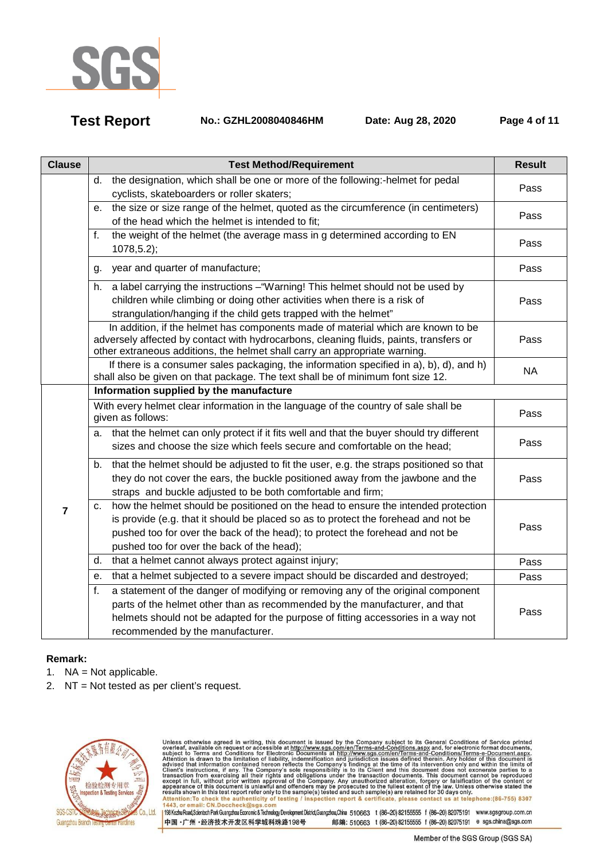

**Test Report No.: GZHL2008040846HM Date: Aug 28, 2020 Page 4 of 11** 

| <b>Clause</b>  | <b>Test Method/Requirement</b>                                                                                                                                                                                                                                                                            | <b>Result</b> |
|----------------|-----------------------------------------------------------------------------------------------------------------------------------------------------------------------------------------------------------------------------------------------------------------------------------------------------------|---------------|
|                | the designation, which shall be one or more of the following:-helmet for pedal<br>d.<br>cyclists, skateboarders or roller skaters;                                                                                                                                                                        | Pass          |
|                | e. the size or size range of the helmet, quoted as the circumference (in centimeters)<br>of the head which the helmet is intended to fit;                                                                                                                                                                 | Pass          |
|                | the weight of the helmet (the average mass in g determined according to EN<br>f.<br>$1078, 5.2$ ;                                                                                                                                                                                                         | Pass          |
|                | year and quarter of manufacture;<br>g.                                                                                                                                                                                                                                                                    | Pass          |
|                | a label carrying the instructions - "Warning! This helmet should not be used by<br>h.<br>children while climbing or doing other activities when there is a risk of<br>strangulation/hanging if the child gets trapped with the helmet"                                                                    | Pass          |
|                | In addition, if the helmet has components made of material which are known to be<br>adversely affected by contact with hydrocarbons, cleaning fluids, paints, transfers or<br>other extraneous additions, the helmet shall carry an appropriate warning.                                                  | Pass          |
|                | If there is a consumer sales packaging, the information specified in a), b), d), and h)<br>shall also be given on that package. The text shall be of minimum font size 12.                                                                                                                                | <b>NA</b>     |
|                | Information supplied by the manufacture                                                                                                                                                                                                                                                                   |               |
|                | With every helmet clear information in the language of the country of sale shall be<br>given as follows:                                                                                                                                                                                                  | Pass          |
|                | a. that the helmet can only protect if it fits well and that the buyer should try different<br>sizes and choose the size which feels secure and comfortable on the head;                                                                                                                                  | Pass          |
| $\overline{7}$ | that the helmet should be adjusted to fit the user, e.g. the straps positioned so that<br>b.<br>they do not cover the ears, the buckle positioned away from the jawbone and the<br>straps and buckle adjusted to be both comfortable and firm;                                                            | Pass          |
|                | c. how the helmet should be positioned on the head to ensure the intended protection<br>is provide (e.g. that it should be placed so as to protect the forehead and not be<br>pushed too for over the back of the head); to protect the forehead and not be<br>pushed too for over the back of the head); | Pass          |
|                | that a helmet cannot always protect against injury;<br>d.                                                                                                                                                                                                                                                 | Pass          |
|                | that a helmet subjected to a severe impact should be discarded and destroyed;<br>е.                                                                                                                                                                                                                       | Pass          |
|                | a statement of the danger of modifying or removing any of the original component<br>f.<br>parts of the helmet other than as recommended by the manufacturer, and that<br>helmets should not be adapted for the purpose of fitting accessories in a way not<br>recommended by the manufacturer.            | Pass          |

### **Remark:**

- 1.  $NA = Not applicable.$
- 2. NT = Not tested as per client's request.



Unless otherwise agreed in writing, this document is issued by the Company subject to its General Conditions of Service printed<br>overleaf, available on request or accessible at http://www.sgs.com/en/Terms-and-Conditions.as resums shown in this less report refer only to the sample(s) rested and such sample(s) are retained tor 50 days omly.<br>Attention:To check the authenticity of testing / inspection report & certificate, please contact us at t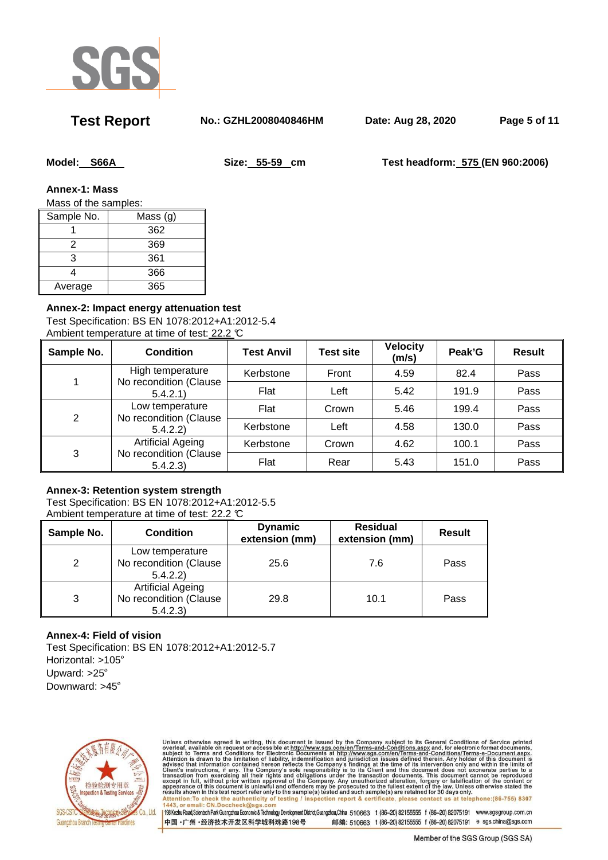

**Test Report No.: GZHL2008040846HM Date: Aug 28, 2020 Page 5 of 11** 

**Model: S66A Size: 55-59 cm Test headform: 575 (EN 960:2006)** 

**Annex-1: Mass** 

Mass of the samples:

| Sample No. | Mass (g) |
|------------|----------|
|            | 362      |
|            | 369      |
| 3          | 361      |
|            | 366      |
| Average    | 365      |

### **Annex-2: Impact energy attenuation test**

Test Specification: BS EN 1078:2012+A1:2012-5.4 Ambient temperature at time of test: 22.2 °C

| Sample No. | Condition                                                     | <b>Test Anvil</b> | <b>Test site</b> | <b>Velocity</b><br>(m/s) | Peak'G | <b>Result</b> |
|------------|---------------------------------------------------------------|-------------------|------------------|--------------------------|--------|---------------|
|            | High temperature<br>No recondition (Clause<br>5.4.2.1         | Kerbstone         | Front            | 4.59                     | 82.4   | Pass          |
|            |                                                               | Flat              | Left             | 5.42                     | 191.9  | Pass          |
| 2          | Low temperature<br>No recondition (Clause<br>5.4.2.2)         | Flat              | Crown            | 5.46                     | 199.4  | Pass          |
|            |                                                               | Kerbstone         | Left             | 4.58                     | 130.0  | Pass          |
| 3          | <b>Artificial Ageing</b><br>No recondition (Clause<br>5.4.2.3 | Kerbstone         | Crown            | 4.62                     | 100.1  | Pass          |
|            |                                                               | Flat              | Rear             | 5.43                     | 151.0  | Pass          |

### **Annex-3: Retention system strength**

Test Specification: BS EN 1078:2012+A1:2012-5.5 Ambient temperature at time of test: 22.2 °C

| Sample No.    | <b>Condition</b>                                               | <b>Dynamic</b><br>extension (mm) | <b>Residual</b><br>extension (mm) | <b>Result</b> |
|---------------|----------------------------------------------------------------|----------------------------------|-----------------------------------|---------------|
| $\mathcal{P}$ | Low temperature<br>No recondition (Clause<br>5.4.2.2)          | 25.6                             | 7.6                               | Pass          |
| 3             | <b>Artificial Ageing</b><br>No recondition (Clause<br>5.4.2.3) | 29.8                             | 10.1                              | Pass          |

### **Annex-4: Field of vision**

Test Specification: BS EN 1078:2012+A1:2012-5.7 Horizontal: >105º Upward: >25º Downward: >45º



Unless otherwise agreed in writing, this document is issued by the Company subject to its General Conditions of Service printed<br>overleaf, available on request or accessible at http://www.sgs.com/en/Terms-and-Conditions.as Attention:To check the authenticity of testing / inspection report & certificate, please contact us at telephone:(86-755) 8307<br>1443, or email: CN.Doccheck@sgs.com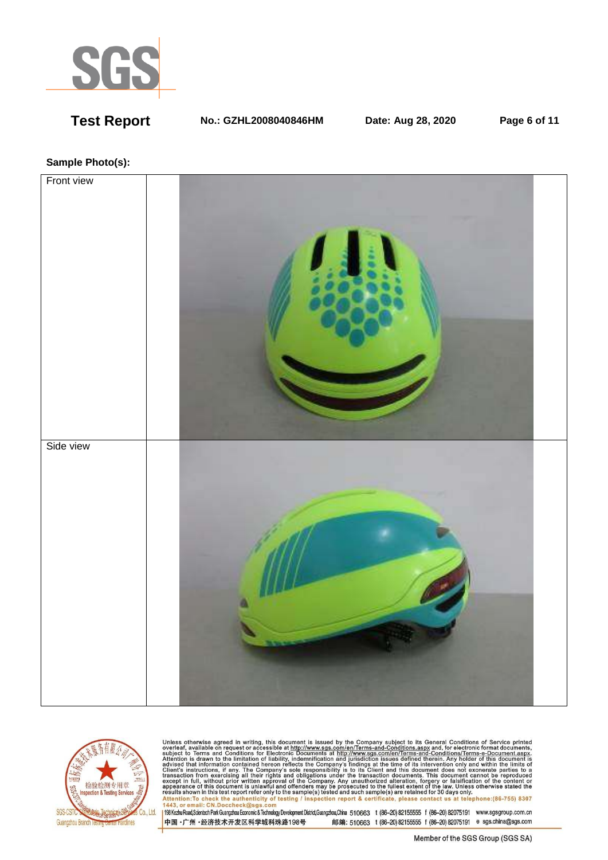

**Test Report No.: GZHL2008040846HM Date: Aug 28, 2020 Page 6 of 11** 

### **Sample Photo(s):**





Unless otherwise agreed in writing, this document is issued by the Company subject to its General Conditions of Service printed<br>overleaf, available on request or accessible at http://www.sgs.com/en/Terms-and-Conditions.as Assume Show in this test report refer only to the samplets) rested and such samplets) are retained for 50 days only.<br>Altention:To check the authenticity of testing / inspection report & certificate, please contact us at t

中国·广州·经济技术开发区科学城科珠路198号 邮编: 510663 t (86-20) 82155555 f (86-20) 82075191 e sgs.china@sgs.com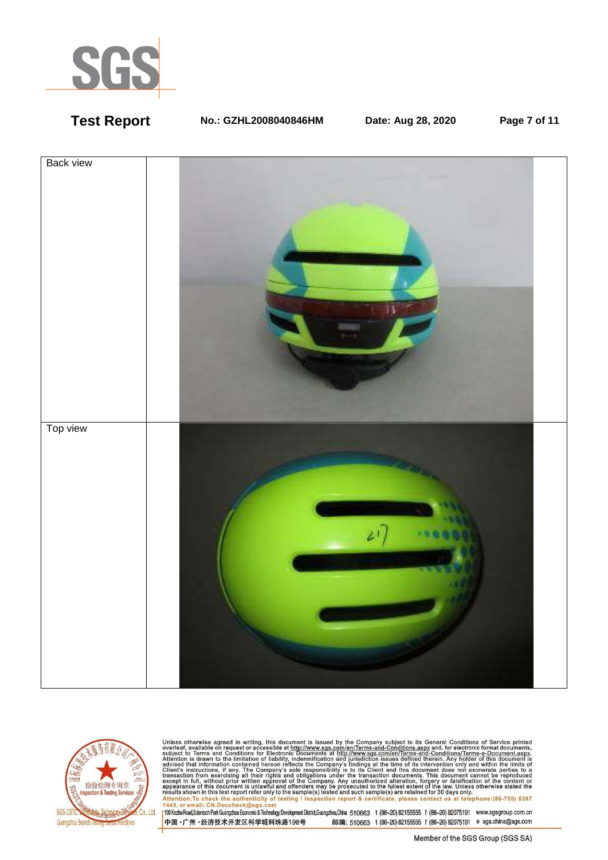

**Test Report No.: GZHL2008040846HM Date: Aug 28, 2020 Page 7 of 11** 





Unless otherwise agreed in writing, this document is issued by the Company subject to its General Conditions of Service printed<br>overleaf, available on request or accessible at http://www.sgs.com/en/Terms-and-Conditions.as resums shown in this less report refer only to the sample(s) rested and such sample(s) are retained tor 50 days omly.<br>Attention:To check the authenticity of testing / inspection report & certificate, please contact us at t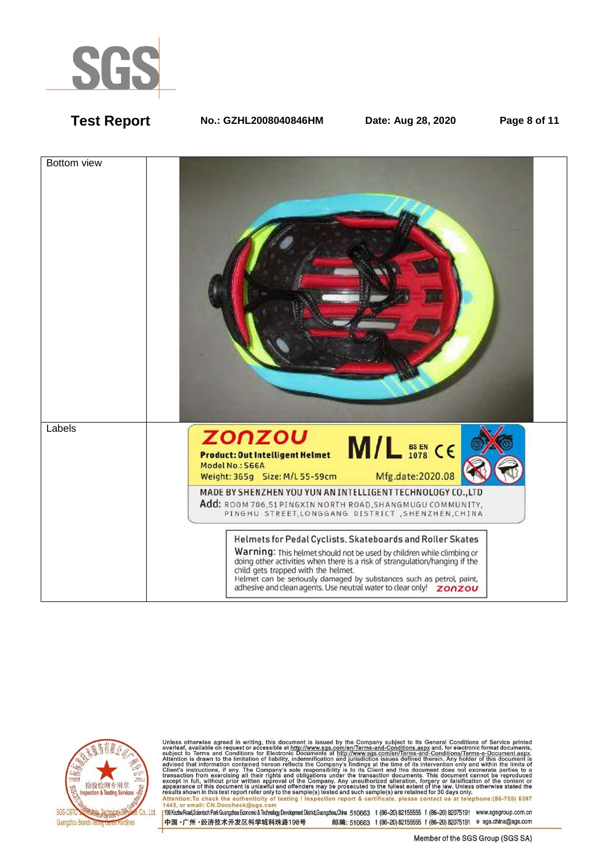

**Test Report No.: GZHL2008040846HM Date: Aug 28, 2020 Page 8 of 11** 





Unless otherwise agreed in writing, this document is issued by the Company subject to its General Conditions of Service printed<br>overleaf, available on request or accessible at http://www.sgs.com/en/Terms-and-Conditions.as Attention:To check the authenticity of testing / inspection report & certificate, please contact us at telephone:(86-755) 8307<br>1443, or email: CN.Doccheck@sgs.com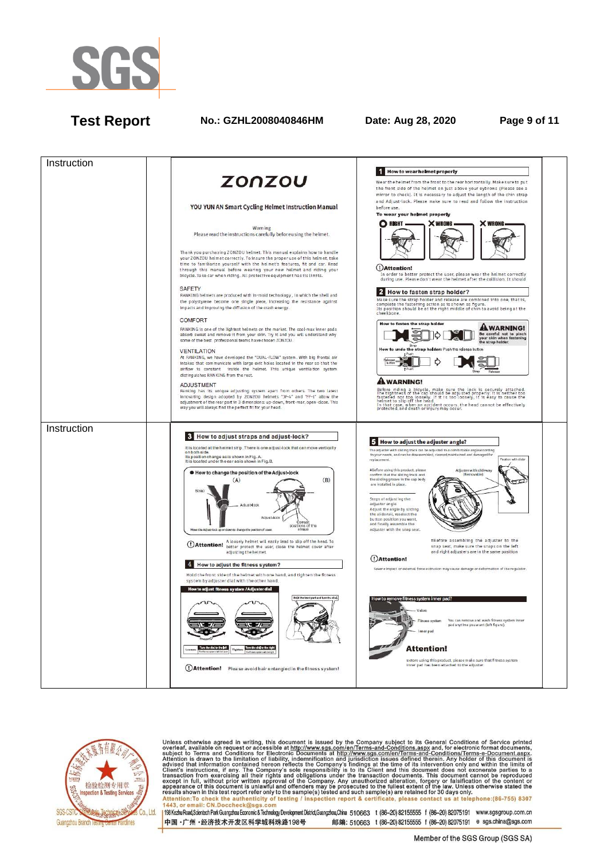

## **Test Report No.: GZHL2008040846HM Date: Aug 28, 2020 Page 9 of 11**





Unless otherwise agreed in writing, this document is issued by the Company subject to its General Conditions of Service printed<br>overleaf, available on request or accessible at http://www.sgs.com/en/Terms-and-Conditions.as Attention:To check the authenticity of testing / inspection report & certificate, please contact us at telephone:(86-755) 8307<br>1443, or email: CN.Doccheck@sgs.com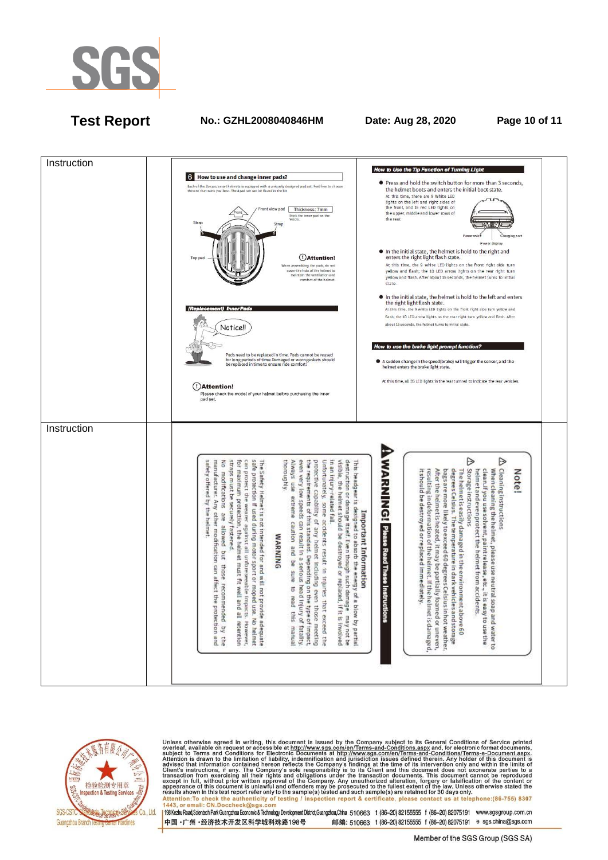

# **Test Report No.: GZHL2008040846HM Date: Aug 28, 2020 Page 10 of 11**





Unless otherwise agreed in writing, this document is issued by the Company subject to its General Conditions of Service printed<br>overleaf, available on request or accessible at http://www.sgs.com/en/Terms-and-Conditions.as Attention:To check the authenticity of testing / inspection report & certificate, please contact us at telephone:(86-755) 8307  $1442$ nail: CN.Doccheck@